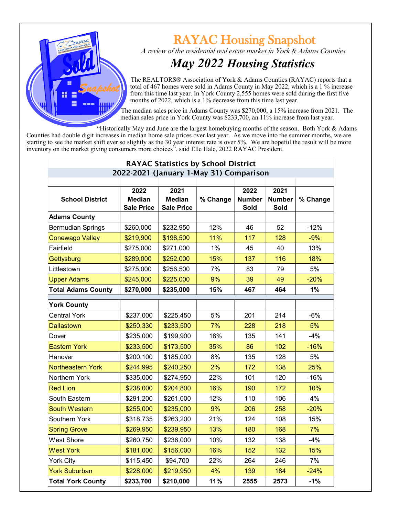

## **RAYAC Housing Snapshot**

A review of the residential real estate market in York & Adams Counties

## *May 2022 Housing Statistics*

 The REALTORS® Association of York & Adams Counties (RAYAC) reports that a total of 467 homes were sold in Adams County in May 2022, which is a  $1\%$  increase from this time last year. In York County 2,555 homes were sold during the first five months of 2022, which is a 1% decrease from this time last year.

 The median sales price in Adams County was \$270,000, a 15% increase from 2021. The median sales price in York County was \$233,700, an 11% increase from last year.

"Historically May and June are the largest homebuying months of the season. Both York & Adams Counties had double digit increases in median home sale prices over last year. As we move into the summer months, we are starting to see the market shift ever so slightly as the 30 year interest rate is over 5%. We are hopeful the result will be more inventory on the market giving consumers more choices". said Elle Hale, 2022 RAYAC President.

| ZUZZ-ZUZT (January T-May 31) Comparison |                   |                   |          |               |               |          |  |  |  |  |
|-----------------------------------------|-------------------|-------------------|----------|---------------|---------------|----------|--|--|--|--|
|                                         | 2022              | 2021              |          | 2022          | 2021          |          |  |  |  |  |
| <b>School District</b>                  | <b>Median</b>     | <b>Median</b>     | % Change | <b>Number</b> | <b>Number</b> | % Change |  |  |  |  |
|                                         | <b>Sale Price</b> | <b>Sale Price</b> |          | <b>Sold</b>   | Sold          |          |  |  |  |  |
| <b>Adams County</b>                     |                   |                   |          |               |               |          |  |  |  |  |
| <b>Bermudian Springs</b>                | \$260,000         | \$232,950         | 12%      | 46            | 52            | $-12%$   |  |  |  |  |
| <b>Conewago Valley</b>                  | \$219,900         | \$198,500         | 11%      | 117           | 128           | $-9%$    |  |  |  |  |
| Fairfield                               | \$275,000         | \$271,000         | 1%       | 45            | 40            | 13%      |  |  |  |  |
| Gettysburg                              | \$289,000         | \$252,000         | 15%      | 137           | 116           | 18%      |  |  |  |  |
| Littlestown                             | \$275,000         | \$256,500         | 7%       | 83            | 79            | 5%       |  |  |  |  |
| <b>Upper Adams</b>                      | \$245,000         | \$225,000         | 9%       | 39            | 49            | $-20%$   |  |  |  |  |
| <b>Total Adams County</b>               | \$270,000         | \$235,000         | 15%      | 467           | 464           | 1%       |  |  |  |  |
| <b>York County</b>                      |                   |                   |          |               |               |          |  |  |  |  |
| <b>Central York</b>                     | \$237,000         | \$225,450         | 5%       | 201           | 214           | $-6%$    |  |  |  |  |
| <b>Dallastown</b>                       | \$250,330         | \$233,500         | 7%       | 228           | 218           | 5%       |  |  |  |  |
| Dover                                   | \$235,000         | \$199,900         | 18%      | 135           | 141           | $-4%$    |  |  |  |  |
| <b>Eastern York</b>                     | \$233,500         | \$173,500         | 35%      | 86            | 102           | $-16%$   |  |  |  |  |
| Hanover                                 | \$200,100         | \$185,000         | 8%       | 135           | 128           | 5%       |  |  |  |  |
| <b>Northeastern York</b>                | \$244,995         | \$240,250         | 2%       | 172           | 138           | 25%      |  |  |  |  |
| Northern York                           | \$335,000         | \$274,950         | 22%      | 101           | 120           | $-16%$   |  |  |  |  |
| <b>Red Lion</b>                         | \$238,000         | \$204,800         | 16%      | 190           | 172           | 10%      |  |  |  |  |
| South Eastern                           | \$291,200         | \$261,000         | 12%      | 110           | 106           | 4%       |  |  |  |  |
| <b>South Western</b>                    | \$255,000         | \$235,000         | 9%       | 206           | 258           | $-20%$   |  |  |  |  |
| Southern York                           | \$318,735         | \$263,200         | 21%      | 124           | 108           | 15%      |  |  |  |  |
| <b>Spring Grove</b>                     | \$269,950         | \$239,950         | 13%      | 180           | 168           | 7%       |  |  |  |  |
| <b>West Shore</b>                       | \$260,750         | \$236,000         | 10%      | 132           | 138           | $-4%$    |  |  |  |  |
| <b>West York</b>                        | \$181,000         | \$156,000         | 16%      | 152           | 132           | 15%      |  |  |  |  |
| <b>York City</b>                        | \$115,450         | \$94,700          | 22%      | 264           | 246           | 7%       |  |  |  |  |
| <b>York Suburban</b>                    | \$228,000         | \$219,950         | 4%       | 139           | 184           | $-24%$   |  |  |  |  |
| <b>Total York County</b>                | \$233,700         | \$210,000         | 11%      | 2555          | 2573          | $-1%$    |  |  |  |  |

## RAYAC Statistics by School District 2022-2021 (January 1-May 31) Comparison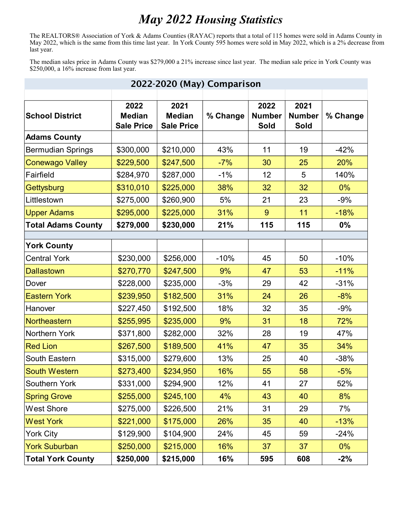## *May 2022 Housing Statistics*

The REALTORS® Association of York & Adams Counties (RAYAC) reports that a total of 115 homes were sold in Adams County in May 2022, which is the same from this time last year. In York County 595 homes were sold in May 2022, which is a 2% decrease from last year.

The median sales price in Adams County was \$279,000 a 21% increase since last year. The median sale price in York County was \$250,000, a 16% increase from last year.

| 2022-2020 (May) Comparison |                                            |                                            |          |                               |                                      |          |  |  |  |
|----------------------------|--------------------------------------------|--------------------------------------------|----------|-------------------------------|--------------------------------------|----------|--|--|--|
| <b>School District</b>     | 2022<br><b>Median</b><br><b>Sale Price</b> | 2021<br><b>Median</b><br><b>Sale Price</b> | % Change | 2022<br><b>Number</b><br>Sold | 2021<br><b>Number</b><br><b>Sold</b> | % Change |  |  |  |
| <b>Adams County</b>        |                                            |                                            |          |                               |                                      |          |  |  |  |
| <b>Bermudian Springs</b>   | \$300,000                                  | \$210,000                                  | 43%      | 11                            | 19                                   | $-42%$   |  |  |  |
| <b>Conewago Valley</b>     | \$229,500                                  | \$247,500                                  | $-7%$    | 30                            | 25                                   | 20%      |  |  |  |
| Fairfield                  | \$284,970                                  | \$287,000                                  | $-1%$    | 12                            | 5                                    | 140%     |  |  |  |
| Gettysburg                 | \$310,010                                  | \$225,000                                  | 38%      | 32                            | 32                                   | 0%       |  |  |  |
| Littlestown                | \$275,000                                  | \$260,900                                  | 5%       | 21                            | 23                                   | $-9%$    |  |  |  |
| <b>Upper Adams</b>         | \$295,000                                  | \$225,000                                  | 31%      | 9                             | 11                                   | $-18%$   |  |  |  |
| <b>Total Adams County</b>  | \$279,000                                  | \$230,000                                  | 21%      | 115                           | 115                                  | 0%       |  |  |  |
|                            |                                            |                                            |          |                               |                                      |          |  |  |  |
| <b>York County</b>         |                                            |                                            |          |                               |                                      |          |  |  |  |
| <b>Central York</b>        | \$230,000                                  | \$256,000                                  | $-10%$   | 45                            | 50                                   | $-10%$   |  |  |  |
| <b>Dallastown</b>          | \$270,770                                  | \$247,500                                  | 9%       | 47                            | 53                                   | $-11%$   |  |  |  |
| Dover                      | \$228,000                                  | \$235,000                                  | $-3%$    | 29                            | 42                                   | $-31%$   |  |  |  |
| <b>Eastern York</b>        | \$239,950                                  | \$182,500                                  | 31%      | 24                            | 26                                   | $-8%$    |  |  |  |
| Hanover                    | \$227,450                                  | \$192,500                                  | 18%      | 32                            | 35                                   | $-9%$    |  |  |  |
| Northeastern               | \$255,995                                  | \$235,000                                  | 9%       | 31                            | 18                                   | 72%      |  |  |  |
| Northern York              | \$371,800                                  | \$282,000                                  | 32%      | 28                            | 19                                   | 47%      |  |  |  |
| <b>Red Lion</b>            | \$267,500                                  | \$189,500                                  | 41%      | 47                            | 35                                   | 34%      |  |  |  |
| South Eastern              | \$315,000                                  | \$279,600                                  | 13%      | 25                            | 40                                   | $-38%$   |  |  |  |
| South Western              | \$273,400                                  | \$234,950                                  | 16%      | 55                            | 58                                   | $-5%$    |  |  |  |
| Southern York              | \$331,000                                  | \$294,900                                  | 12%      | 41                            | 27                                   | 52%      |  |  |  |
| <b>Spring Grove</b>        | \$255,000                                  | \$245,100                                  | 4%       | 43                            | 40                                   | 8%       |  |  |  |
| <b>West Shore</b>          | \$275,000                                  | \$226,500                                  | 21%      | 31                            | 29                                   | 7%       |  |  |  |
| <b>West York</b>           | \$221,000                                  | \$175,000                                  | 26%      | 35                            | 40                                   | $-13%$   |  |  |  |
| <b>York City</b>           | \$129,900                                  | \$104,900                                  | 24%      | 45                            | 59                                   | $-24%$   |  |  |  |
| <b>York Suburban</b>       | \$250,000                                  | \$215,000                                  | 16%      | 37                            | 37                                   | $0\%$    |  |  |  |
| <b>Total York County</b>   | \$250,000                                  | \$215,000                                  | 16%      | 595                           | 608                                  | $-2\%$   |  |  |  |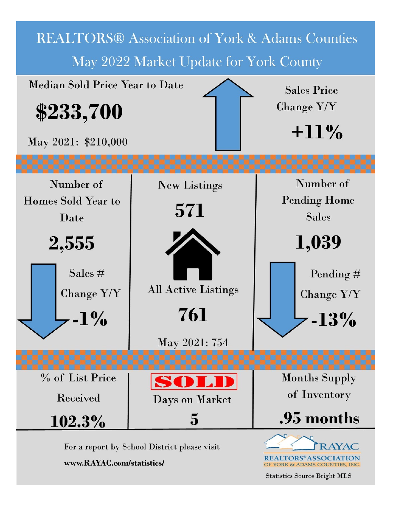

**Statistics Source Bright MLS**